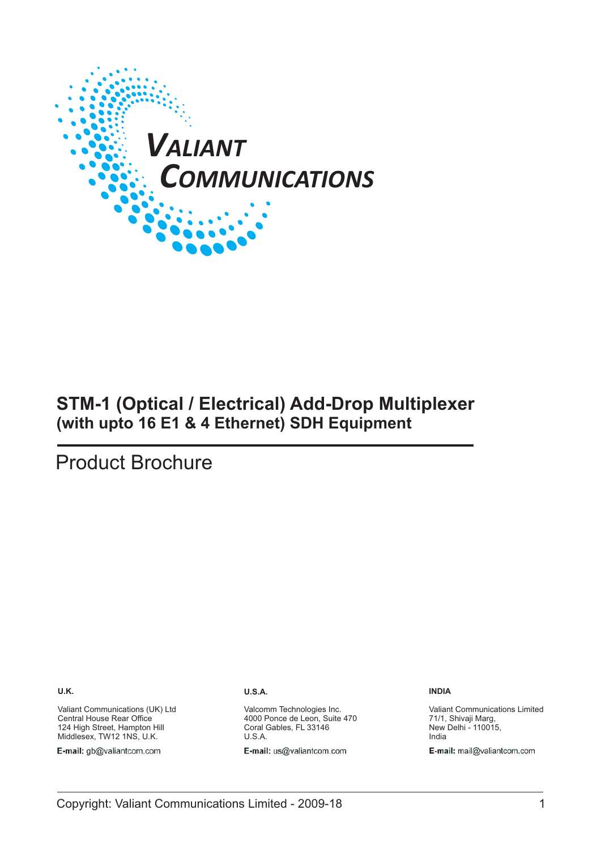

# **STM-1 (Optical / Electrical) Add-Drop Multiplexer (with upto 16 E1 & 4 Ethernet) SDH Equipment**

# Product Brochure

**U.K.**

Valiant Communications (UK) Ltd Central House Rear Office 124 High Street, Hampton Hill Middlesex, TW12 1NS, U.K.

E-mail: gb@valiantcom.com

#### **U.S.A.**

Valcomm Technologies Inc. 4000 Ponce de Leon, Suite 470 Coral Gables, FL 33146 U.S.A.

E-mail: us@valiantcom.com

**INDIA**

Valiant Communications Limited 71/1, Shivaji Marg, New Delhi - 110015, India E-mail: mail@valiantcom.com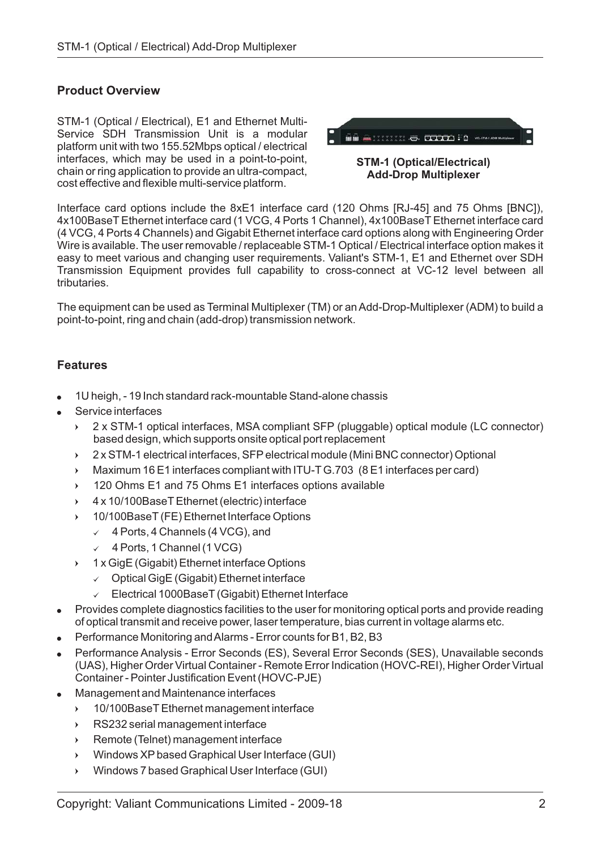# **Product Overview**

STM-1 (Optical / Electrical), E1 and Ethernet Multi-Service SDH Transmission Unit is a modular platform unit with two 155.52Mbps optical / electrical interfaces , which may be used in a point-to-point, chain or ring application to provide an ultra-compact, cost effective and flexible multi-service platform.



**STM-1 (Optical/Electrical) Add-Drop Multiplexer**

(4 VCG, 4 Ports 4 Channels) and Gigabit Ethernet interface card options along with Engineering Order Wire is available. The user removable / replaceable STM-1 Optical / Electrical interface option makes it Interface card options include the 8xE1 interface card (120 Ohms [RJ-45] and 75 Ohms [BNC]), 4x100BaseT Ethernet interface card (1 VCG, 4 Ports 1 Channel), 4x100BaseT Ethernet interface card easy to meet various and changing user requirements. Valiant's STM-1, E1 and Ethernet over SDH Transmission Equipment provides full capability to cross-connect at VC-12 level between all tributaries.

The equipment can be used as Terminal Multiplexer (TM) or an Add-Drop-Multiplexer (ADM) to build a point-to-point, ring and chain (add-drop) transmission network.

# **Features**

 $\rightarrow$ 

- -1U heigh, - 19 Inch standard rack-mountable Stand-alone chassis
- -Service interfaces
	- ▸ 2 x STM-1 optical interfaces, MSA compliant SFP (pluggable) optical module (LC connector) based design, which supports onsite optical port replacement
	- $\lambda$ 2 x STM-1 electrical interfaces, SFP electrical module (Mini BNC connector) Optional
	- Maximum 16 E1 interfaces compliant with ITU-T G.703 (8 E1 interfaces per card)  $\lambda$
	- 120 Ohms E1 and 75 Ohms E1 interfaces options available  $\mathbf{v}$
	- $\lambda$ 4 x 10/100BaseT Ethernet (electric) interface
	- 10/100BaseT (FE) Ethernet Interface Options  $\mathbf{v}$ 
		- $\sqrt{4}$  Ports, 4 Channels (4 VCG), and
		- $\checkmark$  4 Ports, 1 Channel (1 VCG)
		- 1 x GigE (Gigabit) Ethernet interface Options
			- $\checkmark$  Optical GigE (Gigabit) Ethernet interface
			- Electrical 1000BaseT (Gigabit) Ethernet Interface  $\checkmark$
- -Provides complete diagnostics facilities to the user for monitoring optical ports and provide reading of optical transmit and receive power, laser temperature, bias current in voltage alarms etc.
- -Performance Monitoring andAlarms - Error counts for B1, B2, B3
- -Performance Analysis - Error Seconds (ES), Several Error Seconds (SES), Unavailable seconds (UAS), Higher Order Virtual Container - Remote Error Indication (HOVC-REI), Higher Order Virtual Container - Pointer Justification Event (HOVC-PJE)
- -Management and Maintenance interfaces
	- $\mathbf{v}$ 10/100BaseT Ethernet management interface
	- ▸ RS232 serial management interface
	- $\lambda$ Remote (Telnet) management interface
	- ▸ Windows XP based Graphical User Interface (GUI)
	- $\lambda$ Windows 7 based Graphical User Interface (GUI)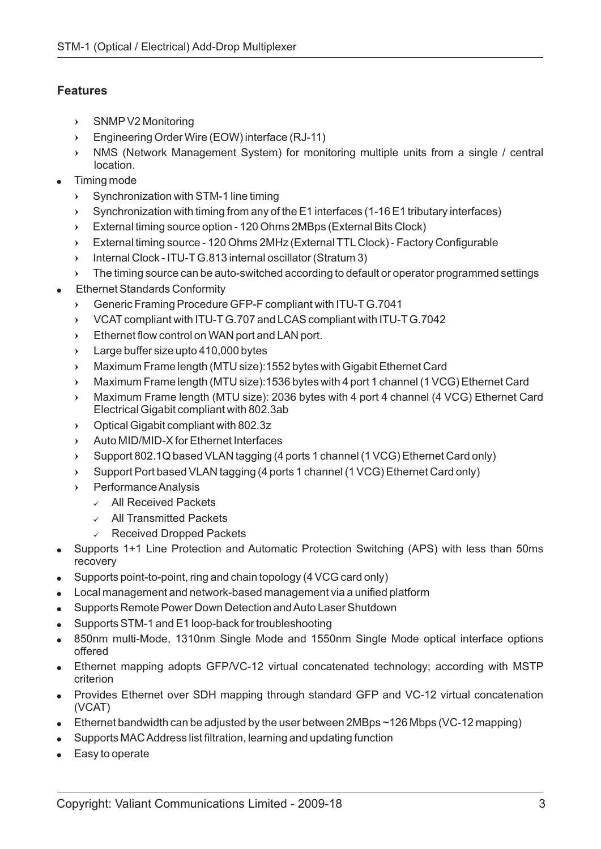# **Features**

- SNMP V2 Monitoring
- Engineering Order Wire (EOW) interface (RJ-11)
- NMS (Network Management System) for monitoring multiple units from a single / central location.
- +<br>+<br>+<br>+ + Timing mode
	- Synchronization with STM-1 line timing  $\mathbf{v}$
	- Synchronization with timing from any of the E1 interfaces (1-16 E1 tributary interfaces)  $\sum_{i=1}^{n}$
	- External timing source option 120 Ohms 2MBps (External Bits Clock)  $\mathbf{v}$
	- $\mathbf{v}$ External timing source - 120 Ohms 2MHz (External TTL Clock) - Factory Configurable
	- Internal Clock ITU-T G.813 internal oscillator (Stratum 3)  $\mathbf{v}$
	- The timing source can be auto-switched according to default or operator programmed settings  $\mathbf{v}$
- -Ethernet Standards Conformity
	- $\sum_{i=1}^{n}$ Generic Framing Procedure GFP-F compliant with ITU-T G.7041
	- $\mathbf{v}$ VCAT compliant with ITU-T G.707 and LCAS compliant with ITU-T G.7042
	- $\blacktriangleright$ Ethernet flow control on WAN port and LAN port.
	- ▶ Large buffer size upto 410,000 bytes
	- $\blacktriangleright$ Maximum Frame length (MTU size):1552 bytes with Gigabit Ethernet Card
	- ▸ Maximum Frame length (MTU size):1536 bytes with 4 port 1 channel (1 VCG) Ethernet Card
- ^ ^ ^ ^ ^ ^ Lthe CVELNNNECASSF ^ SSEE Ir T PCVEL NNNECASSF ^  $\blacktriangleright$ Maximum Frame length (MTU size): 2036 bytes with 4 port 4 channel (4 VCG) Ethernet Card Electrical Gigabit compliant with 802.3ab
	- $\blacktriangleright$ Optical Gigabit compliant with 802.3z
	- $\mathbf{v}$ Auto MID/MID-X for Ethernet Interfaces
	- $\mathbf{r}$ Support 802.1Q based VLAN tagging (4 ports 1 channel (1 VCG) Ethernet Card only)
	- $\mathbf{v}$ Support Port based VLAN tagging (4 ports 1 channel (1 VCG) Ethernet Card only)
	- PerformanceAnalysis
		- $\checkmark$  All Received Packets
		- All Transmitted Packets
		- $\checkmark$  Received Dropped Packets
- Supports 1+1 Line Protection and Automatic Protection Switching (APS) with less than 50ms recovery
- Supports point-to-point, ring and chain topology (4 VCG card only)
- Local management and network-based management via a unified platform
- Supports Remote Power Down Detection andAuto Laser Shutdown
- Supports STM-1 and E1 loop-back for troubleshooting
- . 850nm multi-Mode, 1310nm Single Mode and 1550nm Single Mode optical interface options offered
- Ethernet mapping adopts GFP/VC-12 virtual concatenated technology; according with MSTP criterion
- Provides Ethernet over SDH mapping through standard GFP and VC-12 virtual concatenation (VCAT)
- Ethernet bandwidth can be adjusted by the user between 2MBps ~126 Mbps (VC-12 mapping)
- Supports MACAddress list filtration, learning and updating function
- Easy to operate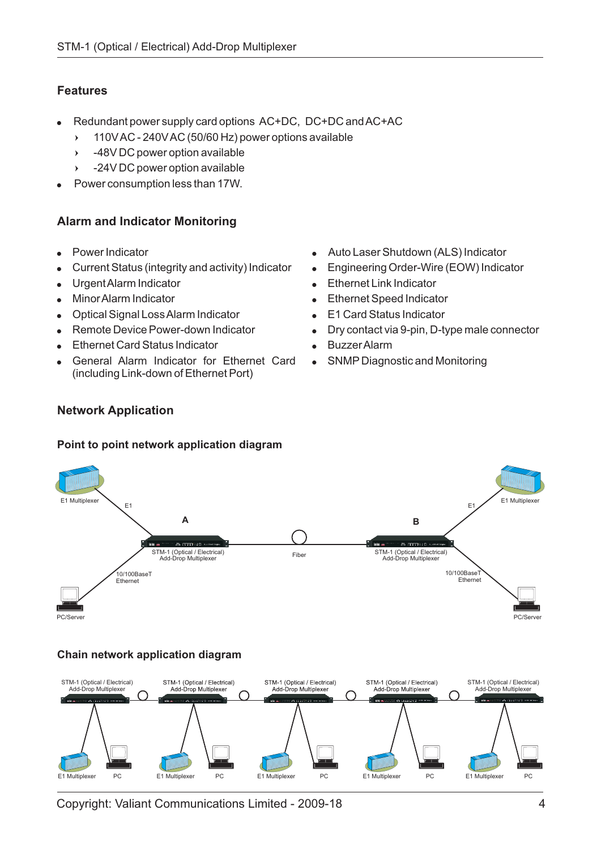# **Features**

- - Redundant power supply card options AC+DC, DC+DC andAC+AC
	- 110VAC 240VAC (50/60 Hz) power options available  $\lambda$
	- -48V DC power option available  $\lambda$
	- -24V DC power option available  $\lambda$
- Power consumption less than 17W. -

# **Alarm and Indicator Monitoring**

- -Power Indicator
- -Current Status (integrity and activity) Indicator
- -UrgentAlarm Indicator
- -MinorAlarm Indicator
- Optical Signal LossAlarm Indicator
- -Remote Device Power-down Indicator
- -Ethernet Card Status Indicator
- -General Alarm Indicator for Ethernet Card (including Link-down of Ethernet Port)
- -Auto Laser Shutdown (ALS) Indicator
- -Engineering Order-Wire (EOW) Indicator
- $\bullet$ Ethernet Link Indicator
- -Ethernet Speed Indicator
- $\bullet$ E1 Card Status Indicator
- $\bullet$ Dry contact via 9-pin, D-type male connector
- -BuzzerAlarm
- -SNMP Diagnostic and Monitoring

# **Network Application**

#### **Point to point network application diagram**



## **Chain network application diagram**



Copyright: Valiant Communications Limited - 2009-18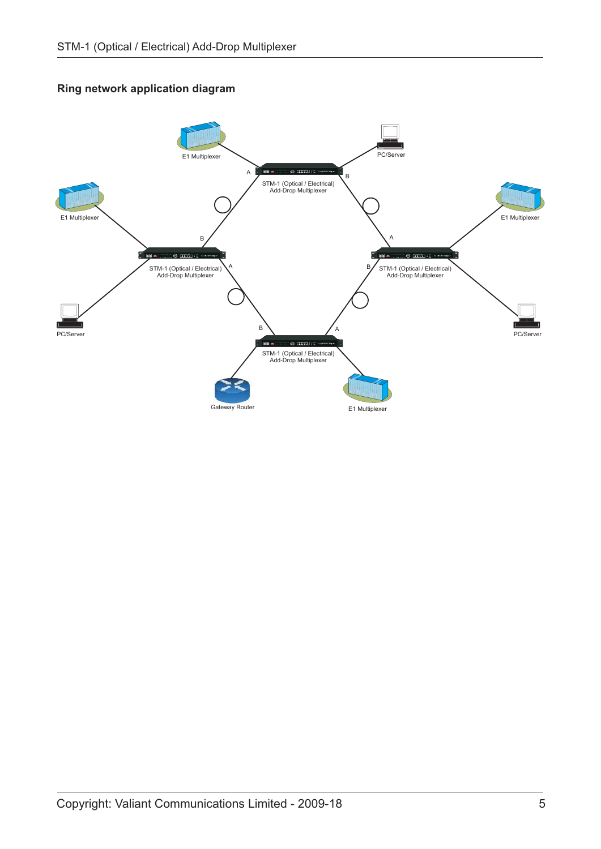#### **Ring network application diagram**

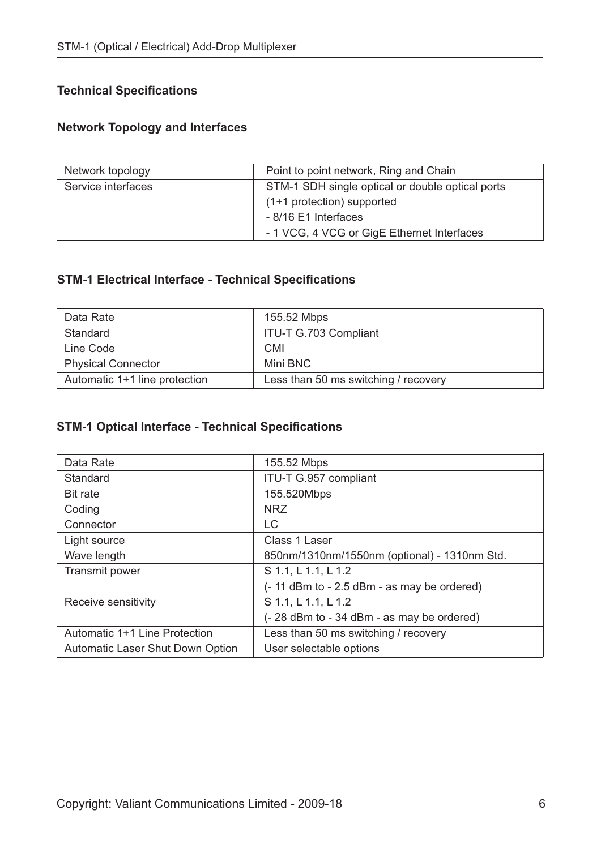# **Technical Specifications**

# **Network Topology and Interfaces**

| Network topology   | Point to point network, Ring and Chain           |  |
|--------------------|--------------------------------------------------|--|
| Service interfaces | STM-1 SDH single optical or double optical ports |  |
|                    | (1+1 protection) supported                       |  |
|                    | - 8/16 E1 Interfaces                             |  |
|                    | - 1 VCG, 4 VCG or GigE Ethernet Interfaces       |  |

# **STM-1 Electrical Interface - Technical Specifications**

| Data Rate                     | 155.52 Mbps                          |
|-------------------------------|--------------------------------------|
| Standard                      | <b>ITU-T G.703 Compliant</b>         |
| Line Code                     | CMI                                  |
| <b>Physical Connector</b>     | Mini BNC                             |
| Automatic 1+1 line protection | Less than 50 ms switching / recovery |

# **STM-1 Optical Interface - Technical Specifications**

| Data Rate                               | 155.52 Mbps                                     |  |
|-----------------------------------------|-------------------------------------------------|--|
| Standard                                | ITU-T G.957 compliant                           |  |
| <b>Bit rate</b>                         | 155.520Mbps                                     |  |
| Coding                                  | <b>NRZ</b>                                      |  |
| Connector                               | LC                                              |  |
| Light source                            | Class 1 Laser                                   |  |
| Wave length                             | 850nm/1310nm/1550nm (optional) - 1310nm Std.    |  |
| Transmit power                          | S 1.1, L 1.1, L 1.2                             |  |
|                                         | $(-11$ dBm to $-2.5$ dBm $-$ as may be ordered) |  |
| Receive sensitivity                     | S 1.1, L 1.1, L 1.2                             |  |
|                                         | (-28 dBm to - 34 dBm - as may be ordered)       |  |
| Automatic 1+1 Line Protection           | Less than 50 ms switching / recovery            |  |
| <b>Automatic Laser Shut Down Option</b> | User selectable options                         |  |
|                                         |                                                 |  |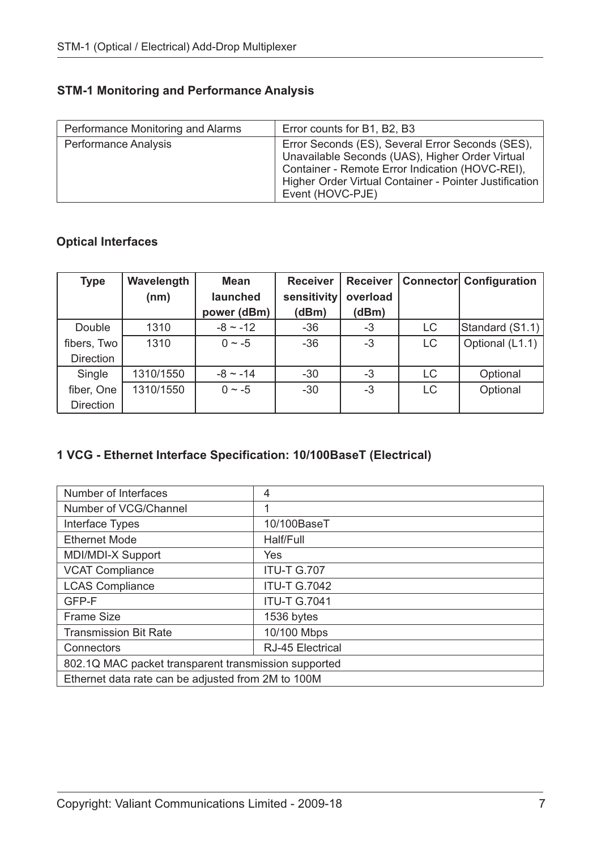# **STM-1 Monitoring and Performance Analysis**

| Performance Monitoring and Alarms | Error counts for B1, B2, B3                                                                                                                                                                                                          |
|-----------------------------------|--------------------------------------------------------------------------------------------------------------------------------------------------------------------------------------------------------------------------------------|
| Performance Analysis              | Error Seconds (ES), Several Error Seconds (SES),<br>Unavailable Seconds (UAS), Higher Order Virtual<br>Container - Remote Error Indication (HOVC-REI),<br>Higher Order Virtual Container - Pointer Justification<br>Event (HOVC-PJE) |

# **Optical Interfaces**

| <b>Type</b>      | Wavelength | <b>Mean</b>   | <b>Receiver</b> | <b>Receiver</b> |           | <b>Connector Configuration</b> |
|------------------|------------|---------------|-----------------|-----------------|-----------|--------------------------------|
|                  | (nm)       | launched      | sensitivity     | overload        |           |                                |
|                  |            | power (dBm)   | (dBm)           | (dBm)           |           |                                |
| Double           | 1310       | $-8 \sim -12$ | $-36$           | $-3$            | LC        | Standard (S1.1)                |
| fibers, Two      | 1310       | $0 \sim -5$   | $-36$           | $-3$            | LC        | Optional (L1.1)                |
| <b>Direction</b> |            |               |                 |                 |           |                                |
| Single           | 1310/1550  | $-8 \sim -14$ | $-30$           | $-3$            | LC        | Optional                       |
| fiber, One       | 1310/1550  | $0 \sim -5$   | $-30$           | $-3$            | <b>LC</b> | Optional                       |
| <b>Direction</b> |            |               |                 |                 |           |                                |

# **1 VCG - Ethernet Interface Specification: 10/100BaseT (Electrical)**

| Number of Interfaces                                 | 4                       |  |
|------------------------------------------------------|-------------------------|--|
| Number of VCG/Channel                                | 1                       |  |
| Interface Types                                      | 10/100BaseT             |  |
| <b>Ethernet Mode</b>                                 | Half/Full               |  |
| MDI/MDI-X Support                                    | Yes                     |  |
| <b>VCAT Compliance</b>                               | <b>ITU-T G.707</b>      |  |
| <b>LCAS Compliance</b>                               | <b>ITU-T G.7042</b>     |  |
| GFP-F                                                | <b>ITU-T G.7041</b>     |  |
| <b>Frame Size</b>                                    | 1536 bytes              |  |
| <b>Transmission Bit Rate</b>                         | 10/100 Mbps             |  |
| Connectors                                           | <b>RJ-45 Electrical</b> |  |
| 802.1Q MAC packet transparent transmission supported |                         |  |
| Ethernet data rate can be adjusted from 2M to 100M   |                         |  |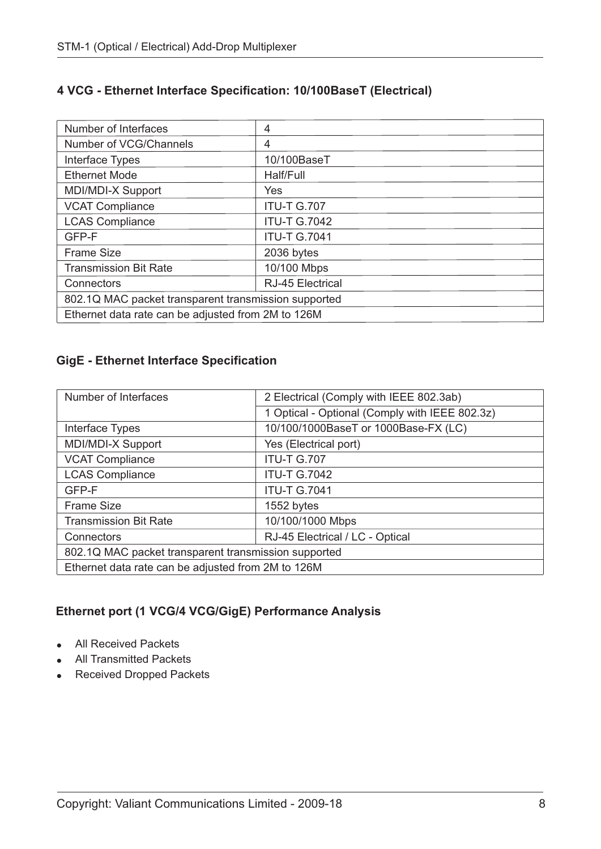# **4 VCG - Ethernet Interface Specification: 10/100BaseT (Electrical)**

| Number of Interfaces                                 | 4                       |  |
|------------------------------------------------------|-------------------------|--|
| Number of VCG/Channels                               | 4                       |  |
| Interface Types                                      | 10/100BaseT             |  |
| <b>Ethernet Mode</b>                                 | Half/Full               |  |
| MDI/MDI-X Support                                    | Yes                     |  |
| <b>VCAT Compliance</b>                               | <b>ITU-T G.707</b>      |  |
| <b>LCAS Compliance</b>                               | <b>ITU-T G.7042</b>     |  |
| GFP-F                                                | <b>ITU-T G.7041</b>     |  |
| <b>Frame Size</b>                                    | 2036 bytes              |  |
| <b>Transmission Bit Rate</b>                         | 10/100 Mbps             |  |
| Connectors                                           | <b>RJ-45 Electrical</b> |  |
| 802.1Q MAC packet transparent transmission supported |                         |  |
| Ethernet data rate can be adjusted from 2M to 126M   |                         |  |

# **GigE - Ethernet Interface Specification**

| Number of Interfaces                                 | 2 Electrical (Comply with IEEE 802.3ab)        |  |
|------------------------------------------------------|------------------------------------------------|--|
|                                                      | 1 Optical - Optional (Comply with IEEE 802.3z) |  |
| Interface Types                                      | 10/100/1000BaseT or 1000Base-FX (LC)           |  |
| MDI/MDI-X Support                                    | Yes (Electrical port)                          |  |
| <b>VCAT Compliance</b>                               | <b>ITU-T G.707</b>                             |  |
| <b>LCAS Compliance</b>                               | <b>ITU-T G.7042</b>                            |  |
| GFP-F                                                | <b>ITU-T G.7041</b>                            |  |
| <b>Frame Size</b>                                    | 1552 bytes                                     |  |
| <b>Transmission Bit Rate</b>                         | 10/100/1000 Mbps                               |  |
| Connectors                                           | RJ-45 Electrical / LC - Optical                |  |
| 802.1Q MAC packet transparent transmission supported |                                                |  |
| Ethernet data rate can be adjusted from 2M to 126M   |                                                |  |

# **Ethernet port (1 VCG/4 VCG/GigE) Performance Analysis**

- All Received Packets
- All Transmitted Packets
- Received Dropped Packets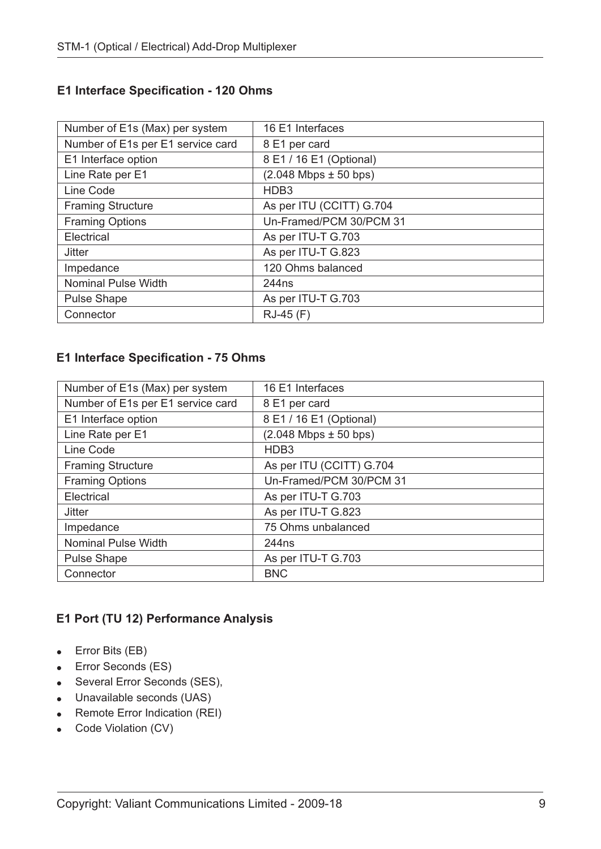#### **E1 Interface Specification - 120 Ohms**

| Number of E1s (Max) per system    | 16 E1 Interfaces            |
|-----------------------------------|-----------------------------|
| Number of E1s per E1 service card | 8 E1 per card               |
| E1 Interface option               | 8 E1 / 16 E1 (Optional)     |
| Line Rate per E1                  | $(2.048$ Mbps $\pm$ 50 bps) |
| Line Code                         | HDB <sub>3</sub>            |
| <b>Framing Structure</b>          | As per ITU (CCITT) G.704    |
| <b>Framing Options</b>            | Un-Framed/PCM 30/PCM 31     |
| Electrical                        | As per ITU-T G.703          |
| <b>Jitter</b>                     | As per ITU-T G.823          |
| Impedance                         | 120 Ohms balanced           |
| <b>Nominal Pulse Width</b>        | 244 <sub>ns</sub>           |
| <b>Pulse Shape</b>                | As per ITU-T G.703          |
| Connector                         | RJ-45 (F)                   |

#### **E1 Interface Specification - 75 Ohms**

| Number of E1s (Max) per system    | 16 E1 Interfaces            |
|-----------------------------------|-----------------------------|
| Number of E1s per E1 service card | 8 E1 per card               |
| E1 Interface option               | 8 E1 / 16 E1 (Optional)     |
| Line Rate per E1                  | $(2.048$ Mbps $\pm$ 50 bps) |
| Line Code                         | HDB <sub>3</sub>            |
| <b>Framing Structure</b>          | As per ITU (CCITT) G.704    |
| <b>Framing Options</b>            | Un-Framed/PCM 30/PCM 31     |
| Electrical                        | As per ITU-T G.703          |
| <b>Jitter</b>                     | As per ITU-T G.823          |
| Impedance                         | 75 Ohms unbalanced          |
| <b>Nominal Pulse Width</b>        | 244 <sub>ns</sub>           |
| <b>Pulse Shape</b>                | As per ITU-T G.703          |
| Connector                         | <b>BNC</b>                  |

# **E1 Port (TU 12) Performance Analysis**

- Error Bits (EB)
- Error Seconds (ES)
- Several Error Seconds (SES),
- Unavailable seconds (UAS)
- Remote Error Indication (REI)
- Code Violation (CV)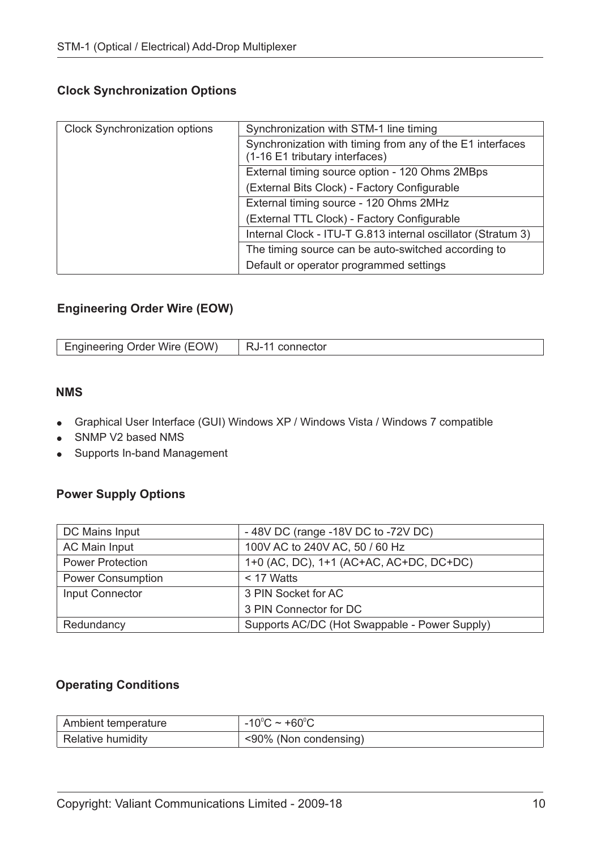# **Clock Synchronization Options**

| <b>Clock Synchronization options</b> | Synchronization with STM-1 line timing                                                      |  |
|--------------------------------------|---------------------------------------------------------------------------------------------|--|
|                                      | Synchronization with timing from any of the E1 interfaces<br>(1-16 E1 tributary interfaces) |  |
|                                      | External timing source option - 120 Ohms 2MBps                                              |  |
|                                      | (External Bits Clock) - Factory Configurable                                                |  |
|                                      | External timing source - 120 Ohms 2MHz                                                      |  |
|                                      | (External TTL Clock) - Factory Configurable                                                 |  |
|                                      | Internal Clock - ITU-T G.813 internal oscillator (Stratum 3)                                |  |
|                                      | The timing source can be auto-switched according to                                         |  |
|                                      | Default or operator programmed settings                                                     |  |

## **Engineering Order Wire (EOW)**

| Engineering Order Wire (EOW)   RJ-11 connector |  |
|------------------------------------------------|--|

#### **NMS**

- Graphical User Interface (GUI) Windows XP / Windows Vista / Windows 7 compatible
- -SNMP V2 based NMS
- Supports In-band Management

## **Power Supply Options**

| DC Mains Input           | -48V DC (range -18V DC to -72V DC)            |
|--------------------------|-----------------------------------------------|
| AC Main Input            | 100V AC to 240V AC, 50 / 60 Hz                |
| <b>Power Protection</b>  | 1+0 (AC, DC), 1+1 (AC+AC, AC+DC, DC+DC)       |
| <b>Power Consumption</b> | $<$ 17 Watts                                  |
| Input Connector          | 3 PIN Socket for AC                           |
|                          | 3 PIN Connector for DC                        |
| Redundancy               | Supports AC/DC (Hot Swappable - Power Supply) |

## **Operating Conditions**

| Ambient temperature | -10 $^{\circ}$ C ~ +60 $^{\circ}$ C |
|---------------------|-------------------------------------|
| Relative humidity   | <90% (Non condensing)               |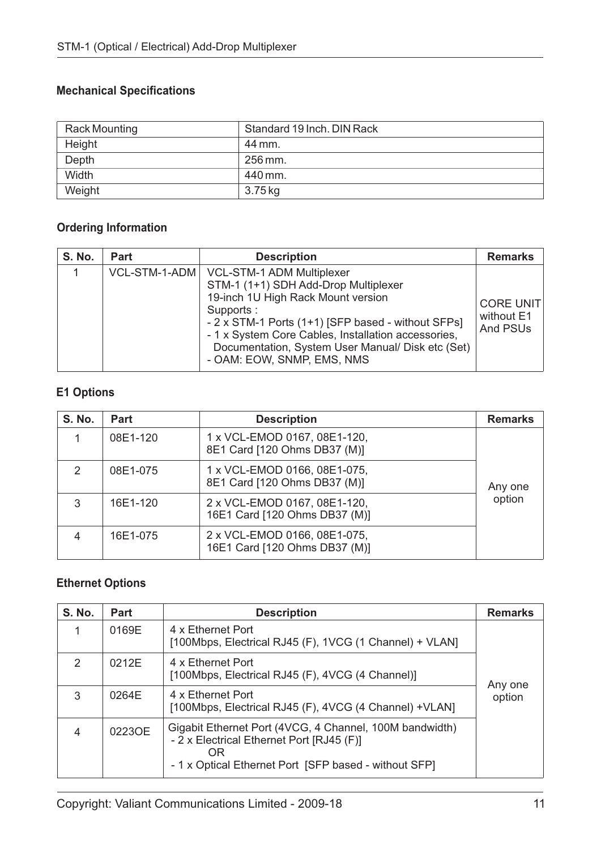# **Mechanical Specifications**

| Rack Mounting | Standard 19 Inch. DIN Rack |
|---------------|----------------------------|
| Height        | 44 mm.                     |
| Depth         | 256 mm.                    |
| Width         | 440 mm.                    |
| Weight        | 3.75 kg                    |

# **Ordering Information**

| <b>S. No.</b> | <b>Part</b>   | <b>Description</b>                                                                                                                                                                                                                                                                                                          | <b>Remarks</b>                             |
|---------------|---------------|-----------------------------------------------------------------------------------------------------------------------------------------------------------------------------------------------------------------------------------------------------------------------------------------------------------------------------|--------------------------------------------|
|               | VCL-STM-1-ADM | <b>VCL-STM-1 ADM Multiplexer</b><br>STM-1 (1+1) SDH Add-Drop Multiplexer<br>19-inch 1U High Rack Mount version<br>Supports:<br>- 2 x STM-1 Ports (1+1) [SFP based - without SFPs]<br>- 1 x System Core Cables, Installation accessories,<br>Documentation, System User Manual/ Disk etc (Set)<br>- OAM: EOW, SNMP, EMS, NMS | <b>CORE UNIT</b><br>without E1<br>And PSUs |

# **E1 Options**

| <b>S. No.</b> | <b>Part</b> | <b>Description</b>                                            | <b>Remarks</b> |
|---------------|-------------|---------------------------------------------------------------|----------------|
|               | 08E1-120    | 1 x VCL-EMOD 0167, 08E1-120,<br>8E1 Card [120 Ohms DB37 (M)]  |                |
| $\mathcal{P}$ | 08E1-075    | 1 x VCL-EMOD 0166, 08E1-075,<br>8E1 Card [120 Ohms DB37 (M)]  | Any one        |
| 3             | 16E1-120    | 2 x VCL-EMOD 0167, 08E1-120,<br>16E1 Card [120 Ohms DB37 (M)] | option         |
|               | 16E1-075    | 2 x VCL-EMOD 0166, 08E1-075,<br>16E1 Card [120 Ohms DB37 (M)] |                |

# **Ethernet Options**

| <b>S. No.</b> | <b>Part</b> | <b>Description</b>                                                                                                                                                  | <b>Remarks</b> |
|---------------|-------------|---------------------------------------------------------------------------------------------------------------------------------------------------------------------|----------------|
|               | 0169E       | 4 x Ethernet Port<br>[100Mbps, Electrical RJ45 (F), 1VCG (1 Channel) + VLAN]                                                                                        |                |
| $\mathcal{P}$ | 0212E       | 4 x Ethernet Port<br>[100Mbps, Electrical RJ45 (F), 4VCG (4 Channel)]                                                                                               | Any one        |
| 3             | 0264E       | 4 x Ethernet Port<br>[100Mbps, Electrical RJ45 (F), 4VCG (4 Channel) +VLAN]                                                                                         | option         |
| 4             | 0223OE      | Gigabit Ethernet Port (4VCG, 4 Channel, 100M bandwidth)<br>- 2 x Electrical Ethernet Port [RJ45 (F)]<br>OR<br>- 1 x Optical Ethernet Port [SFP based - without SFP] |                |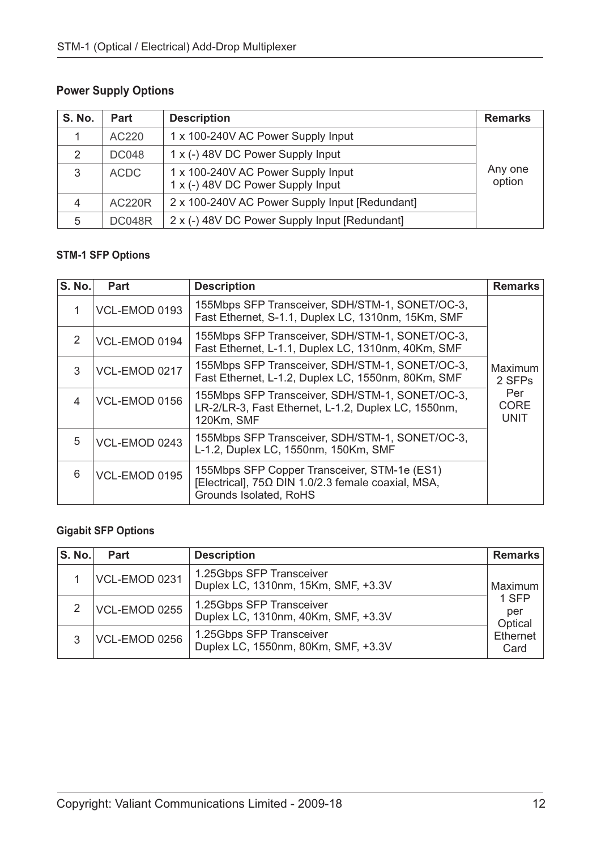# **Power Supply Options**

| S. No.        | <b>Part</b>   | <b>Description</b>                                                      | <b>Remarks</b>    |
|---------------|---------------|-------------------------------------------------------------------------|-------------------|
|               | AC220         | 1 x 100-240V AC Power Supply Input                                      |                   |
| $\mathcal{P}$ | <b>DC048</b>  | 1 x (-) 48V DC Power Supply Input                                       |                   |
| 3             | <b>ACDC</b>   | 1 x 100-240V AC Power Supply Input<br>1 x (-) 48V DC Power Supply Input | Any one<br>option |
| 4             | <b>AC220R</b> | 2 x 100-240V AC Power Supply Input [Redundant]                          |                   |
| 5             | <b>DC048R</b> | 2 x (-) 48V DC Power Supply Input [Redundant]                           |                   |

### **STM-1 SFP Options**

| <b>S. No.</b> | Part          | <b>Description</b>                                                                                                                  | <b>Remarks</b>             |
|---------------|---------------|-------------------------------------------------------------------------------------------------------------------------------------|----------------------------|
|               | VCL-EMOD 0193 | 155Mbps SFP Transceiver, SDH/STM-1, SONET/OC-3,<br>Fast Ethernet, S-1.1, Duplex LC, 1310nm, 15Km, SMF                               |                            |
| $\mathcal{P}$ | VCL-EMOD 0194 | 155Mbps SFP Transceiver, SDH/STM-1, SONET/OC-3,<br>Fast Ethernet, L-1.1, Duplex LC, 1310nm, 40Km, SMF                               |                            |
| 3             | VCL-EMOD 0217 | 155Mbps SFP Transceiver, SDH/STM-1, SONET/OC-3,<br>Fast Ethernet, L-1.2, Duplex LC, 1550nm, 80Km, SMF                               | Maximum<br>2 SFPs          |
| 4             | VCL-EMOD 0156 | 155Mbps SFP Transceiver, SDH/STM-1, SONET/OC-3,<br>LR-2/LR-3, Fast Ethernet, L-1.2, Duplex LC, 1550nm,<br>120Km, SMF                | Per<br>CORE<br><b>UNIT</b> |
| 5             | VCL-EMOD 0243 | 155Mbps SFP Transceiver, SDH/STM-1, SONET/OC-3,<br>L-1.2, Duplex LC, 1550nm, 150Km, SMF                                             |                            |
| 6             | VCL-EMOD 0195 | 155Mbps SFP Copper Transceiver, STM-1e (ES1)<br>[Electrical], $75\Omega$ DIN 1.0/2.3 female coaxial, MSA,<br>Grounds Isolated, RoHS |                            |

# **Gigabit SFP Options**

| <b>S. No.</b> | Part          | <b>Description</b>                                              | <b>Remarks</b>          |
|---------------|---------------|-----------------------------------------------------------------|-------------------------|
|               | VCL-EMOD 0231 | 1.25Gbps SFP Transceiver<br>Duplex LC, 1310nm, 15Km, SMF, +3.3V | Maximum                 |
|               | VCL-EMOD 0255 | 1.25Gbps SFP Transceiver<br>Duplex LC, 1310nm, 40Km, SMF, +3.3V | 1 SFP<br>per<br>Optical |
|               | VCL-EMOD 0256 | 1.25Gbps SFP Transceiver<br>Duplex LC, 1550nm, 80Km, SMF, +3.3V | Ethernet<br>Card        |